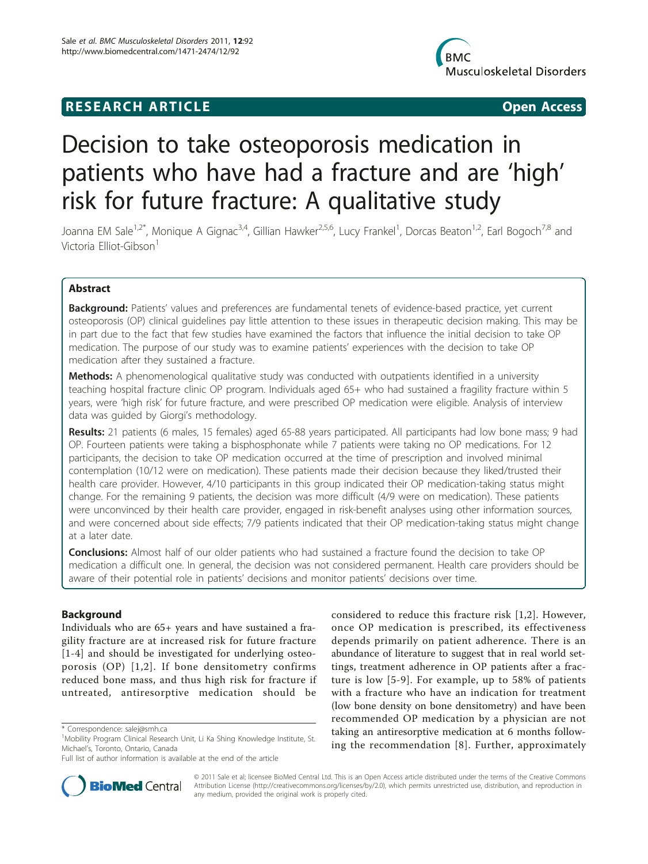## **RESEARCH ARTICLE Example 2018 12:00 Open Access**



# Decision to take osteoporosis medication in patients who have had a fracture and are 'high' risk for future fracture: A qualitative study

Joanna EM Sale<sup>1,2\*</sup>, Monique A Gignac<sup>3,4</sup>, Gillian Hawker<sup>2,5,6</sup>, Lucy Frankel<sup>1</sup>, Dorcas Beaton<sup>1,2</sup>, Earl Bogoch<sup>7,8</sup> and Victoria Elliot-Gibson<sup>1</sup>

## Abstract

Background: Patients' values and preferences are fundamental tenets of evidence-based practice, yet current osteoporosis (OP) clinical guidelines pay little attention to these issues in therapeutic decision making. This may be in part due to the fact that few studies have examined the factors that influence the initial decision to take OP medication. The purpose of our study was to examine patients' experiences with the decision to take OP medication after they sustained a fracture.

**Methods:** A phenomenological qualitative study was conducted with outpatients identified in a university teaching hospital fracture clinic OP program. Individuals aged 65+ who had sustained a fragility fracture within 5 years, were 'high risk' for future fracture, and were prescribed OP medication were eligible. Analysis of interview data was guided by Giorgi's methodology.

Results: 21 patients (6 males, 15 females) aged 65-88 years participated. All participants had low bone mass; 9 had OP. Fourteen patients were taking a bisphosphonate while 7 patients were taking no OP medications. For 12 participants, the decision to take OP medication occurred at the time of prescription and involved minimal contemplation (10/12 were on medication). These patients made their decision because they liked/trusted their health care provider. However, 4/10 participants in this group indicated their OP medication-taking status might change. For the remaining 9 patients, the decision was more difficult (4/9 were on medication). These patients were unconvinced by their health care provider, engaged in risk-benefit analyses using other information sources, and were concerned about side effects; 7/9 patients indicated that their OP medication-taking status might change at a later date.

**Conclusions:** Almost half of our older patients who had sustained a fracture found the decision to take OP medication a difficult one. In general, the decision was not considered permanent. Health care providers should be aware of their potential role in patients' decisions and monitor patients' decisions over time.

## Background

Individuals who are 65+ years and have sustained a fragility fracture are at increased risk for future fracture [[1](#page-7-0)-[4](#page-7-0)] and should be investigated for underlying osteoporosis (OP) [[1](#page-7-0),[2](#page-7-0)]. If bone densitometry confirms reduced bone mass, and thus high risk for fracture if untreated, antiresorptive medication should be

considered to reduce this fracture risk [[1,2](#page-7-0)]. However, once OP medication is prescribed, its effectiveness depends primarily on patient adherence. There is an abundance of literature to suggest that in real world settings, treatment adherence in OP patients after a fracture is low [[5-9\]](#page-7-0). For example, up to 58% of patients with a fracture who have an indication for treatment (low bone density on bone densitometry) and have been recommended OP medication by a physician are not taking an antiresorptive medication at 6 months following the recommendation [[8\]](#page-7-0). Further, approximately



© 2011 Sale et al; licensee BioMed Central Ltd. This is an Open Access article distributed under the terms of the Creative Commons Attribution License [\(http://creativecommons.org/licenses/by/2.0](http://creativecommons.org/licenses/by/2.0)), which permits unrestricted use, distribution, and reproduction in any medium, provided the original work is properly cited.

<sup>\*</sup> Correspondence: [salej@smh.ca](mailto:salej@smh.ca)

<sup>&</sup>lt;sup>1</sup>Mobility Program Clinical Research Unit, Li Ka Shing Knowledge Institute, St. Michael's, Toronto, Ontario, Canada

Full list of author information is available at the end of the article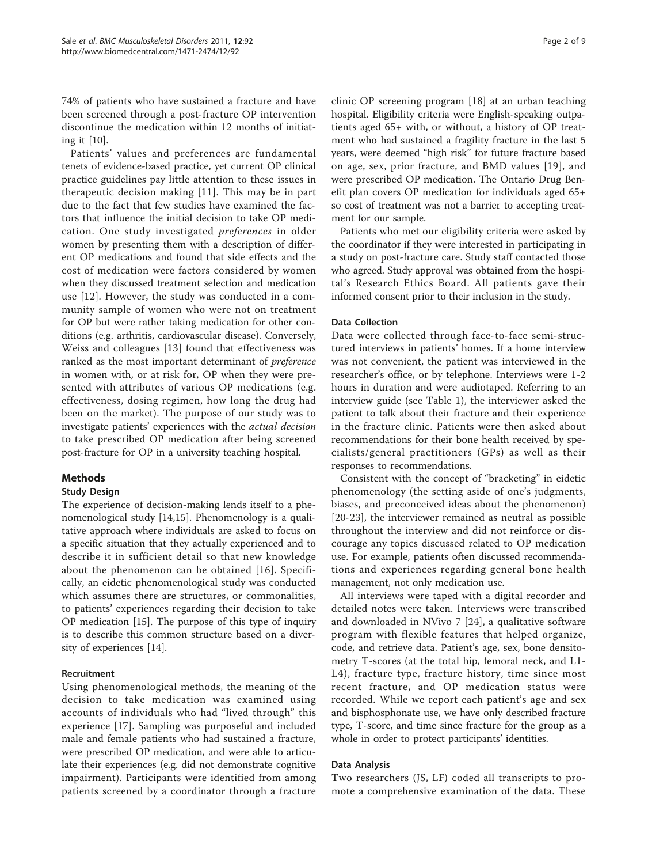74% of patients who have sustained a fracture and have been screened through a post-fracture OP intervention discontinue the medication within 12 months of initiating it [[10](#page-7-0)].

Patients' values and preferences are fundamental tenets of evidence-based practice, yet current OP clinical practice guidelines pay little attention to these issues in therapeutic decision making [[11](#page-7-0)]. This may be in part due to the fact that few studies have examined the factors that influence the initial decision to take OP medication. One study investigated preferences in older women by presenting them with a description of different OP medications and found that side effects and the cost of medication were factors considered by women when they discussed treatment selection and medication use [\[12\]](#page-7-0). However, the study was conducted in a community sample of women who were not on treatment for OP but were rather taking medication for other conditions (e.g. arthritis, cardiovascular disease). Conversely, Weiss and colleagues [[13](#page-7-0)] found that effectiveness was ranked as the most important determinant of preference in women with, or at risk for, OP when they were presented with attributes of various OP medications (e.g. effectiveness, dosing regimen, how long the drug had been on the market). The purpose of our study was to investigate patients' experiences with the actual decision to take prescribed OP medication after being screened post-fracture for OP in a university teaching hospital.

## Methods

## Study Design

The experience of decision-making lends itself to a phenomenological study [[14,15](#page-7-0)]. Phenomenology is a qualitative approach where individuals are asked to focus on a specific situation that they actually experienced and to describe it in sufficient detail so that new knowledge about the phenomenon can be obtained [\[16\]](#page-7-0). Specifically, an eidetic phenomenological study was conducted which assumes there are structures, or commonalities, to patients' experiences regarding their decision to take OP medication [\[15](#page-7-0)]. The purpose of this type of inquiry is to describe this common structure based on a diversity of experiences [[14](#page-7-0)].

## Recruitment

Using phenomenological methods, the meaning of the decision to take medication was examined using accounts of individuals who had "lived through" this experience [[17](#page-7-0)]. Sampling was purposeful and included male and female patients who had sustained a fracture, were prescribed OP medication, and were able to articulate their experiences (e.g. did not demonstrate cognitive impairment). Participants were identified from among patients screened by a coordinator through a fracture

clinic OP screening program [[18\]](#page-7-0) at an urban teaching hospital. Eligibility criteria were English-speaking outpatients aged 65+ with, or without, a history of OP treatment who had sustained a fragility fracture in the last 5 years, were deemed "high risk" for future fracture based on age, sex, prior fracture, and BMD values [\[19\]](#page-7-0), and were prescribed OP medication. The Ontario Drug Benefit plan covers OP medication for individuals aged 65+ so cost of treatment was not a barrier to accepting treatment for our sample.

Patients who met our eligibility criteria were asked by the coordinator if they were interested in participating in a study on post-fracture care. Study staff contacted those who agreed. Study approval was obtained from the hospital's Research Ethics Board. All patients gave their informed consent prior to their inclusion in the study.

### Data Collection

Data were collected through face-to-face semi-structured interviews in patients' homes. If a home interview was not convenient, the patient was interviewed in the researcher's office, or by telephone. Interviews were 1-2 hours in duration and were audiotaped. Referring to an interview guide (see Table [1\)](#page-2-0), the interviewer asked the patient to talk about their fracture and their experience in the fracture clinic. Patients were then asked about recommendations for their bone health received by specialists/general practitioners (GPs) as well as their responses to recommendations.

Consistent with the concept of "bracketing" in eidetic phenomenology (the setting aside of one's judgments, biases, and preconceived ideas about the phenomenon) [[20-23\]](#page-7-0), the interviewer remained as neutral as possible throughout the interview and did not reinforce or discourage any topics discussed related to OP medication use. For example, patients often discussed recommendations and experiences regarding general bone health management, not only medication use.

All interviews were taped with a digital recorder and detailed notes were taken. Interviews were transcribed and downloaded in NVivo 7 [\[24](#page-7-0)], a qualitative software program with flexible features that helped organize, code, and retrieve data. Patient's age, sex, bone densitometry T-scores (at the total hip, femoral neck, and L1- L4), fracture type, fracture history, time since most recent fracture, and OP medication status were recorded. While we report each patient's age and sex and bisphosphonate use, we have only described fracture type, T-score, and time since fracture for the group as a whole in order to protect participants' identities.

#### Data Analysis

Two researchers (JS, LF) coded all transcripts to promote a comprehensive examination of the data. These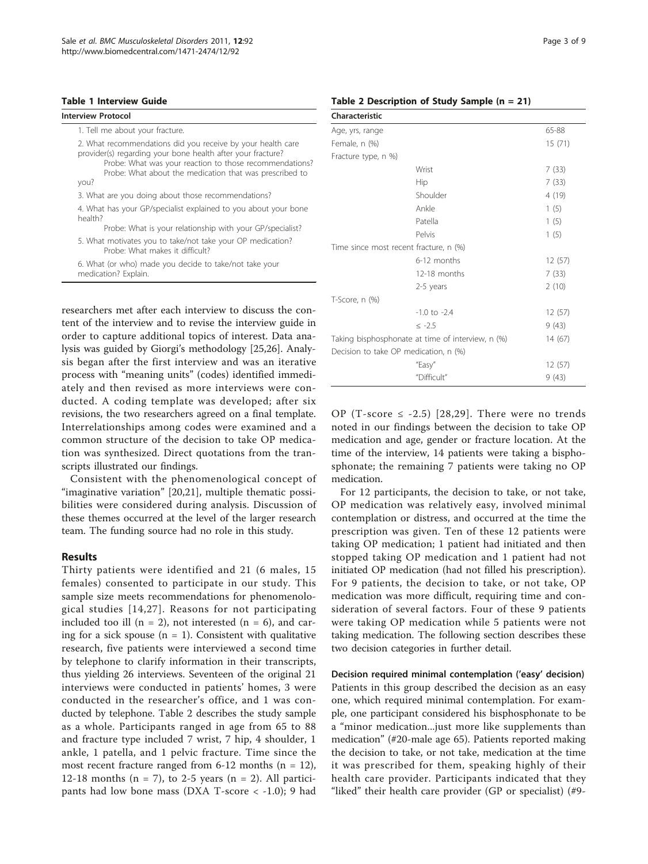#### <span id="page-2-0"></span>Table 1 Interview Guide

| <b>Interview Protocol</b>                                                                                                                                                                                                                                |  |  |  |  |
|----------------------------------------------------------------------------------------------------------------------------------------------------------------------------------------------------------------------------------------------------------|--|--|--|--|
| 1. Tell me about your fracture.                                                                                                                                                                                                                          |  |  |  |  |
| 2. What recommendations did you receive by your health care<br>provider(s) regarding your bone health after your fracture?<br>Probe: What was your reaction to those recommendations?<br>Probe: What about the medication that was prescribed to<br>you? |  |  |  |  |
| 3. What are you doing about those recommendations?                                                                                                                                                                                                       |  |  |  |  |
| 4. What has your GP/specialist explained to you about your bone<br>health?                                                                                                                                                                               |  |  |  |  |
| Probe: What is your relationship with your GP/specialist?                                                                                                                                                                                                |  |  |  |  |
| 5. What motivates you to take/not take your OP medication?<br>Probe: What makes it difficult?                                                                                                                                                            |  |  |  |  |
| 6. What (or who) made you decide to take/not take your<br>medication? Explain.                                                                                                                                                                           |  |  |  |  |

researchers met after each interview to discuss the content of the interview and to revise the interview guide in order to capture additional topics of interest. Data analysis was guided by Giorgi's methodology [[25,26\]](#page-7-0). Analysis began after the first interview and was an iterative process with "meaning units" (codes) identified immediately and then revised as more interviews were conducted. A coding template was developed; after six revisions, the two researchers agreed on a final template. Interrelationships among codes were examined and a common structure of the decision to take OP medication was synthesized. Direct quotations from the transcripts illustrated our findings.

Consistent with the phenomenological concept of "imaginative variation" [[20,21](#page-7-0)], multiple thematic possibilities were considered during analysis. Discussion of these themes occurred at the level of the larger research team. The funding source had no role in this study.

#### Results

Thirty patients were identified and 21 (6 males, 15 females) consented to participate in our study. This sample size meets recommendations for phenomenological studies [[14](#page-7-0),[27\]](#page-7-0). Reasons for not participating included too ill  $(n = 2)$ , not interested  $(n = 6)$ , and caring for a sick spouse  $(n = 1)$ . Consistent with qualitative research, five patients were interviewed a second time by telephone to clarify information in their transcripts, thus yielding 26 interviews. Seventeen of the original 21 interviews were conducted in patients' homes, 3 were conducted in the researcher's office, and 1 was conducted by telephone. Table 2 describes the study sample as a whole. Participants ranged in age from 65 to 88 and fracture type included 7 wrist, 7 hip, 4 shoulder, 1 ankle, 1 patella, and 1 pelvic fracture. Time since the most recent fracture ranged from  $6-12$  months  $(n = 12)$ , 12-18 months ( $n = 7$ ), to 2-5 years ( $n = 2$ ). All participants had low bone mass (DXA T-score  $\langle$  -1.0); 9 had

#### Table 2 Description of Study Sample (n = 21)

| Age, yrs, range                                   | 65-88                                  |        |
|---------------------------------------------------|----------------------------------------|--------|
| Female, n (%)                                     | 15(71)                                 |        |
| Fracture type, n %)                               |                                        |        |
|                                                   | Wrist                                  | 7(33)  |
|                                                   | Hip                                    | 7(33)  |
|                                                   | Shoulder                               | 4(19)  |
|                                                   | Ankle                                  | 1(5)   |
|                                                   | Patella                                | 1(5)   |
|                                                   | Pelvis                                 | 1(5)   |
|                                                   | Time since most recent fracture, n (%) |        |
|                                                   | 6-12 months                            | 12(57) |
|                                                   | 12-18 months                           | 7(33)  |
|                                                   | 2-5 years                              | 2(10)  |
| T-Score, n (%)                                    |                                        |        |
|                                                   | $-1.0$ to $-2.4$                       | 12(57) |
|                                                   | $<-2.5$                                | 9(43)  |
| Taking bisphosphonate at time of interview, n (%) | 14(67)                                 |        |
|                                                   | Decision to take OP medication, n (%)  |        |
|                                                   | "Easy"                                 | 12(57) |
|                                                   | "Difficult"                            | 9(43)  |

OP (T-score  $\leq$  -2.5) [[28](#page-7-0),[29](#page-7-0)]. There were no trends noted in our findings between the decision to take OP medication and age, gender or fracture location. At the time of the interview, 14 patients were taking a bisphosphonate; the remaining 7 patients were taking no OP medication.

For 12 participants, the decision to take, or not take, OP medication was relatively easy, involved minimal contemplation or distress, and occurred at the time the prescription was given. Ten of these 12 patients were taking OP medication; 1 patient had initiated and then stopped taking OP medication and 1 patient had not initiated OP medication (had not filled his prescription). For 9 patients, the decision to take, or not take, OP medication was more difficult, requiring time and consideration of several factors. Four of these 9 patients were taking OP medication while 5 patients were not taking medication. The following section describes these two decision categories in further detail.

Decision required minimal contemplation ('easy' decision) Patients in this group described the decision as an easy one, which required minimal contemplation. For example, one participant considered his bisphosphonate to be a "minor medication...just more like supplements than medication" (#20-male age 65). Patients reported making the decision to take, or not take, medication at the time it was prescribed for them, speaking highly of their health care provider. Participants indicated that they "liked" their health care provider (GP or specialist) (#9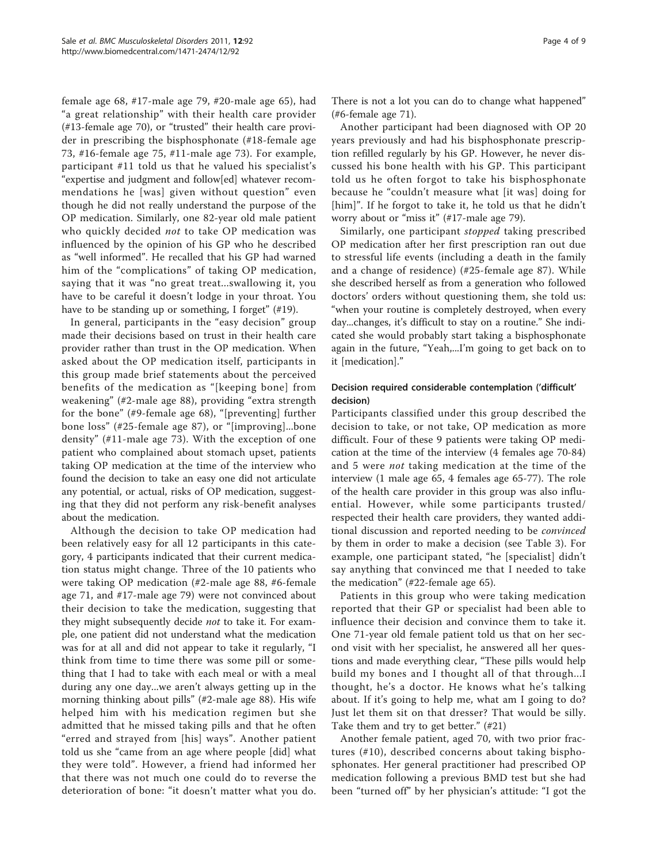female age 68, #17-male age 79, #20-male age 65), had "a great relationship" with their health care provider (#13-female age 70), or "trusted" their health care provider in prescribing the bisphosphonate (#18-female age 73, #16-female age 75, #11-male age 73). For example, participant #11 told us that he valued his specialist's "expertise and judgment and follow[ed] whatever recommendations he [was] given without question" even though he did not really understand the purpose of the OP medication. Similarly, one 82-year old male patient who quickly decided not to take OP medication was influenced by the opinion of his GP who he described as "well informed". He recalled that his GP had warned him of the "complications" of taking OP medication, saying that it was "no great treat...swallowing it, you have to be careful it doesn't lodge in your throat. You have to be standing up or something, I forget" (#19).

In general, participants in the "easy decision" group made their decisions based on trust in their health care provider rather than trust in the OP medication. When asked about the OP medication itself, participants in this group made brief statements about the perceived benefits of the medication as "[keeping bone] from weakening" (#2-male age 88), providing "extra strength for the bone" (#9-female age 68), "[preventing] further bone loss" (#25-female age 87), or "[improving]...bone density" (#11-male age 73). With the exception of one patient who complained about stomach upset, patients taking OP medication at the time of the interview who found the decision to take an easy one did not articulate any potential, or actual, risks of OP medication, suggesting that they did not perform any risk-benefit analyses about the medication.

Although the decision to take OP medication had been relatively easy for all 12 participants in this category, 4 participants indicated that their current medication status might change. Three of the 10 patients who were taking OP medication (#2-male age 88, #6-female age 71, and #17-male age 79) were not convinced about their decision to take the medication, suggesting that they might subsequently decide not to take it. For example, one patient did not understand what the medication was for at all and did not appear to take it regularly, "I think from time to time there was some pill or something that I had to take with each meal or with a meal during any one day...we aren't always getting up in the morning thinking about pills" (#2-male age 88). His wife helped him with his medication regimen but she admitted that he missed taking pills and that he often "erred and strayed from [his] ways". Another patient told us she "came from an age where people [did] what they were told". However, a friend had informed her that there was not much one could do to reverse the deterioration of bone: "it doesn't matter what you do.

There is not a lot you can do to change what happened" (#6-female age 71).

Another participant had been diagnosed with OP 20 years previously and had his bisphosphonate prescription refilled regularly by his GP. However, he never discussed his bone health with his GP. This participant told us he often forgot to take his bisphosphonate because he "couldn't measure what [it was] doing for [him]". If he forgot to take it, he told us that he didn't worry about or "miss it" (#17-male age 79).

Similarly, one participant stopped taking prescribed OP medication after her first prescription ran out due to stressful life events (including a death in the family and a change of residence) (#25-female age 87). While she described herself as from a generation who followed doctors' orders without questioning them, she told us: "when your routine is completely destroyed, when every day...changes, it's difficult to stay on a routine." She indicated she would probably start taking a bisphosphonate again in the future, "Yeah,...I'm going to get back on to it [medication]."

## Decision required considerable contemplation ('difficult' decision)

Participants classified under this group described the decision to take, or not take, OP medication as more difficult. Four of these 9 patients were taking OP medication at the time of the interview (4 females age 70-84) and 5 were *not* taking medication at the time of the interview (1 male age 65, 4 females age 65-77). The role of the health care provider in this group was also influential. However, while some participants trusted/ respected their health care providers, they wanted additional discussion and reported needing to be convinced by them in order to make a decision (see Table [3\)](#page-4-0). For example, one participant stated, "he [specialist] didn't say anything that convinced me that I needed to take the medication" (#22-female age 65).

Patients in this group who were taking medication reported that their GP or specialist had been able to influence their decision and convince them to take it. One 71-year old female patient told us that on her second visit with her specialist, he answered all her questions and made everything clear, "These pills would help build my bones and I thought all of that through...I thought, he's a doctor. He knows what he's talking about. If it's going to help me, what am I going to do? Just let them sit on that dresser? That would be silly. Take them and try to get better." (#21)

Another female patient, aged 70, with two prior fractures (#10), described concerns about taking bisphosphonates. Her general practitioner had prescribed OP medication following a previous BMD test but she had been "turned off" by her physician's attitude: "I got the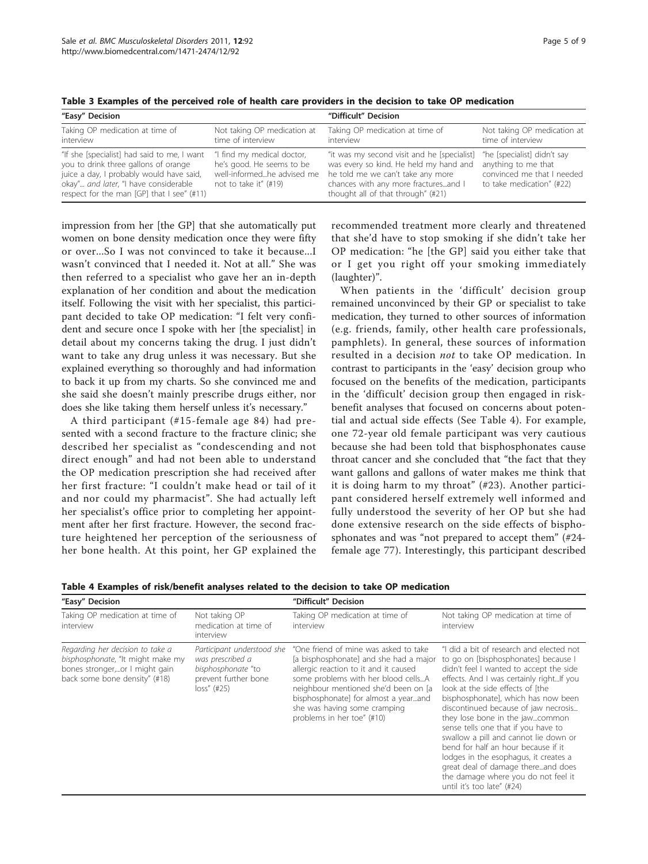| "Easy" Decision                                                                                                                                                                                                        |                                                                                                                | "Difficult" Decision                                                                                                                                                                                     |                                                                                                               |  |
|------------------------------------------------------------------------------------------------------------------------------------------------------------------------------------------------------------------------|----------------------------------------------------------------------------------------------------------------|----------------------------------------------------------------------------------------------------------------------------------------------------------------------------------------------------------|---------------------------------------------------------------------------------------------------------------|--|
| Taking OP medication at time of<br>interview                                                                                                                                                                           | Not taking OP medication at<br>time of interview                                                               | Taking OP medication at time of<br>interview                                                                                                                                                             | Not taking OP medication at<br>time of interview                                                              |  |
| "If she [specialist] had said to me, I want<br>you to drink three gallons of orange<br>juice a day, I probably would have said,<br>okay" and later, "I have considerable<br>respect for the man [GP] that I see" (#11) | "I find my medical doctor,<br>he's good. He seems to be<br>well-informedhe advised me<br>not to take it" (#19) | "it was my second visit and he [specialist]<br>was every so kind. He held my hand and<br>he told me we can't take any more<br>chances with any more fracturesand I<br>thought all of that through" (#21) | "he [specialist] didn't say<br>anything to me that<br>convinced me that I needed<br>to take medication" (#22) |  |

<span id="page-4-0"></span>Table 3 Examples of the perceived role of health care providers in the decision to take OP medication

impression from her [the GP] that she automatically put women on bone density medication once they were fifty or over...So I was not convinced to take it because...I wasn't convinced that I needed it. Not at all." She was then referred to a specialist who gave her an in-depth explanation of her condition and about the medication itself. Following the visit with her specialist, this participant decided to take OP medication: "I felt very confident and secure once I spoke with her [the specialist] in detail about my concerns taking the drug. I just didn't want to take any drug unless it was necessary. But she explained everything so thoroughly and had information to back it up from my charts. So she convinced me and she said she doesn't mainly prescribe drugs either, nor does she like taking them herself unless it's necessary."

A third participant (#15-female age 84) had presented with a second fracture to the fracture clinic; she described her specialist as "condescending and not direct enough" and had not been able to understand the OP medication prescription she had received after her first fracture: "I couldn't make head or tail of it and nor could my pharmacist". She had actually left her specialist's office prior to completing her appointment after her first fracture. However, the second fracture heightened her perception of the seriousness of her bone health. At this point, her GP explained the recommended treatment more clearly and threatened that she'd have to stop smoking if she didn't take her OP medication: "he [the GP] said you either take that or I get you right off your smoking immediately (laughter)".

When patients in the 'difficult' decision group remained unconvinced by their GP or specialist to take medication, they turned to other sources of information (e.g. friends, family, other health care professionals, pamphlets). In general, these sources of information resulted in a decision not to take OP medication. In contrast to participants in the 'easy' decision group who focused on the benefits of the medication, participants in the 'difficult' decision group then engaged in riskbenefit analyses that focused on concerns about potential and actual side effects (See Table 4). For example, one 72-year old female participant was very cautious because she had been told that bisphosphonates cause throat cancer and she concluded that "the fact that they want gallons and gallons of water makes me think that it is doing harm to my throat" (#23). Another participant considered herself extremely well informed and fully understood the severity of her OP but she had done extensive research on the side effects of bisphosphonates and was "not prepared to accept them" (#24 female age 77). Interestingly, this participant described

Table 4 Examples of risk/benefit analyses related to the decision to take OP medication

| "Easy" Decision                                                                                                                          |                                                                                                             | "Difficult" Decision                                                                                                                                                                                                                                                                                          |                                                                                                                                                                                                                                                                                                                                                                                                                                                                                                                                                                                                          |  |
|------------------------------------------------------------------------------------------------------------------------------------------|-------------------------------------------------------------------------------------------------------------|---------------------------------------------------------------------------------------------------------------------------------------------------------------------------------------------------------------------------------------------------------------------------------------------------------------|----------------------------------------------------------------------------------------------------------------------------------------------------------------------------------------------------------------------------------------------------------------------------------------------------------------------------------------------------------------------------------------------------------------------------------------------------------------------------------------------------------------------------------------------------------------------------------------------------------|--|
| Taking OP medication at time of<br>interview                                                                                             | Not taking OP<br>medication at time of<br>interview                                                         | Taking OP medication at time of<br>interview                                                                                                                                                                                                                                                                  | Not taking OP medication at time of<br>interview                                                                                                                                                                                                                                                                                                                                                                                                                                                                                                                                                         |  |
| Regarding her decision to take a<br>bisphosphonate, "It might make my<br>bones stronger,or I might gain<br>back some bone density" (#18) | Participant understood she<br>was prescribed a<br>bisphosphonate "to<br>prevent further bone<br>loss''(#25) | "One friend of mine was asked to take<br>[a bisphosphonate] and she had a major<br>allergic reaction to it and it caused<br>some problems with her blood cellsA<br>neighbour mentioned she'd been on [a<br>bisphosphonate] for almost a yearand<br>she was having some cramping<br>problems in her toe" (#10) | "I did a bit of research and elected not<br>to go on [bisphosphonates] because I<br>didn't feel I wanted to accept the side<br>effects. And I was certainly rightIf you<br>look at the side effects of Ithe<br>bisphosphonate], which has now been<br>discontinued because of jaw necrosis<br>they lose bone in the jawcommon<br>sense tells one that if you have to<br>swallow a pill and cannot lie down or<br>bend for half an hour because if it<br>lodges in the esophagus, it creates a<br>great deal of damage thereand does<br>the damage where you do not feel it<br>until it's too late" (#24) |  |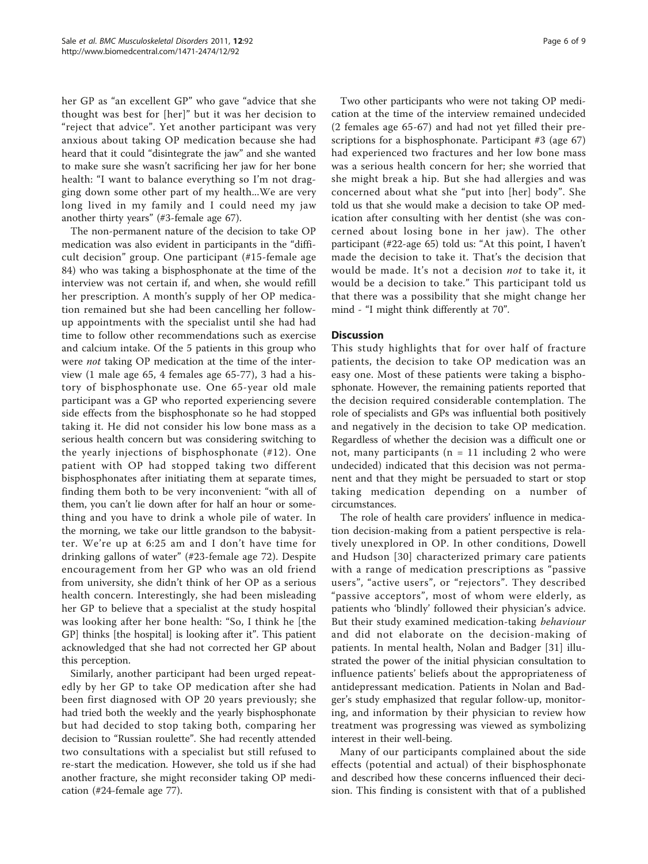her GP as "an excellent GP" who gave "advice that she thought was best for [her]" but it was her decision to "reject that advice". Yet another participant was very anxious about taking OP medication because she had heard that it could "disintegrate the jaw" and she wanted to make sure she wasn't sacrificing her jaw for her bone health: "I want to balance everything so I'm not dragging down some other part of my health...We are very long lived in my family and I could need my jaw another thirty years" (#3-female age 67).

The non-permanent nature of the decision to take OP medication was also evident in participants in the "difficult decision" group. One participant (#15-female age 84) who was taking a bisphosphonate at the time of the interview was not certain if, and when, she would refill her prescription. A month's supply of her OP medication remained but she had been cancelling her followup appointments with the specialist until she had had time to follow other recommendations such as exercise and calcium intake. Of the 5 patients in this group who were not taking OP medication at the time of the interview (1 male age 65, 4 females age 65-77), 3 had a history of bisphosphonate use. One 65-year old male participant was a GP who reported experiencing severe side effects from the bisphosphonate so he had stopped taking it. He did not consider his low bone mass as a serious health concern but was considering switching to the yearly injections of bisphosphonate (#12). One patient with OP had stopped taking two different bisphosphonates after initiating them at separate times, finding them both to be very inconvenient: "with all of them, you can't lie down after for half an hour or something and you have to drink a whole pile of water. In the morning, we take our little grandson to the babysitter. We're up at 6:25 am and I don't have time for drinking gallons of water" (#23-female age 72). Despite encouragement from her GP who was an old friend from university, she didn't think of her OP as a serious health concern. Interestingly, she had been misleading her GP to believe that a specialist at the study hospital was looking after her bone health: "So, I think he [the GP] thinks [the hospital] is looking after it". This patient acknowledged that she had not corrected her GP about this perception.

Similarly, another participant had been urged repeatedly by her GP to take OP medication after she had been first diagnosed with OP 20 years previously; she had tried both the weekly and the yearly bisphosphonate but had decided to stop taking both, comparing her decision to "Russian roulette". She had recently attended two consultations with a specialist but still refused to re-start the medication. However, she told us if she had another fracture, she might reconsider taking OP medication (#24-female age 77).

Two other participants who were not taking OP medication at the time of the interview remained undecided (2 females age 65-67) and had not yet filled their prescriptions for a bisphosphonate. Participant #3 (age 67) had experienced two fractures and her low bone mass was a serious health concern for her; she worried that she might break a hip. But she had allergies and was concerned about what she "put into [her] body". She told us that she would make a decision to take OP medication after consulting with her dentist (she was concerned about losing bone in her jaw). The other participant (#22-age 65) told us: "At this point, I haven't made the decision to take it. That's the decision that would be made. It's not a decision not to take it, it would be a decision to take." This participant told us that there was a possibility that she might change her mind - "I might think differently at 70".

## **Discussion**

This study highlights that for over half of fracture patients, the decision to take OP medication was an easy one. Most of these patients were taking a bisphosphonate. However, the remaining patients reported that the decision required considerable contemplation. The role of specialists and GPs was influential both positively and negatively in the decision to take OP medication. Regardless of whether the decision was a difficult one or not, many participants ( $n = 11$  including 2 who were undecided) indicated that this decision was not permanent and that they might be persuaded to start or stop taking medication depending on a number of circumstances.

The role of health care providers' influence in medication decision-making from a patient perspective is relatively unexplored in OP. In other conditions, Dowell and Hudson [[30\]](#page-8-0) characterized primary care patients with a range of medication prescriptions as "passive users", "active users", or "rejectors". They described "passive acceptors", most of whom were elderly, as patients who 'blindly' followed their physician's advice. But their study examined medication-taking behaviour and did not elaborate on the decision-making of patients. In mental health, Nolan and Badger [[31\]](#page-8-0) illustrated the power of the initial physician consultation to influence patients' beliefs about the appropriateness of antidepressant medication. Patients in Nolan and Badger's study emphasized that regular follow-up, monitoring, and information by their physician to review how treatment was progressing was viewed as symbolizing interest in their well-being.

Many of our participants complained about the side effects (potential and actual) of their bisphosphonate and described how these concerns influenced their decision. This finding is consistent with that of a published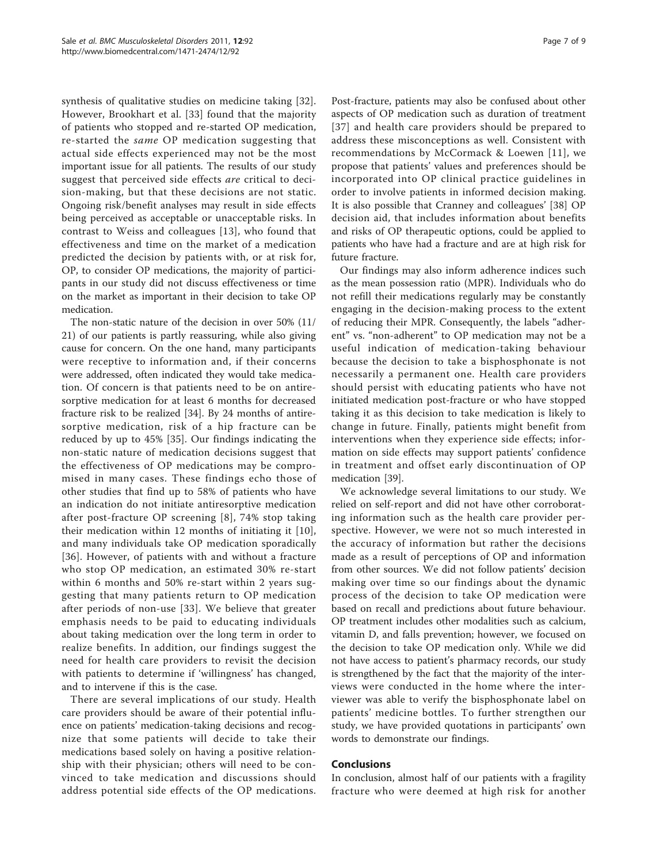synthesis of qualitative studies on medicine taking [\[32](#page-8-0)]. However, Brookhart et al. [[33\]](#page-8-0) found that the majority of patients who stopped and re-started OP medication, re-started the same OP medication suggesting that actual side effects experienced may not be the most important issue for all patients. The results of our study suggest that perceived side effects are critical to decision-making, but that these decisions are not static. Ongoing risk/benefit analyses may result in side effects being perceived as acceptable or unacceptable risks. In contrast to Weiss and colleagues [[13](#page-7-0)], who found that effectiveness and time on the market of a medication predicted the decision by patients with, or at risk for, OP, to consider OP medications, the majority of participants in our study did not discuss effectiveness or time on the market as important in their decision to take OP medication.

The non-static nature of the decision in over 50% (11/ 21) of our patients is partly reassuring, while also giving cause for concern. On the one hand, many participants were receptive to information and, if their concerns were addressed, often indicated they would take medication. Of concern is that patients need to be on antiresorptive medication for at least 6 months for decreased fracture risk to be realized [[34](#page-8-0)]. By 24 months of antiresorptive medication, risk of a hip fracture can be reduced by up to 45% [[35\]](#page-8-0). Our findings indicating the non-static nature of medication decisions suggest that the effectiveness of OP medications may be compromised in many cases. These findings echo those of other studies that find up to 58% of patients who have an indication do not initiate antiresorptive medication after post-fracture OP screening [[8](#page-7-0)], 74% stop taking their medication within 12 months of initiating it [[10](#page-7-0)], and many individuals take OP medication sporadically [[36](#page-8-0)]. However, of patients with and without a fracture who stop OP medication, an estimated 30% re-start within 6 months and 50% re-start within 2 years suggesting that many patients return to OP medication after periods of non-use [[33](#page-8-0)]. We believe that greater emphasis needs to be paid to educating individuals about taking medication over the long term in order to realize benefits. In addition, our findings suggest the need for health care providers to revisit the decision with patients to determine if 'willingness' has changed, and to intervene if this is the case.

There are several implications of our study. Health care providers should be aware of their potential influence on patients' medication-taking decisions and recognize that some patients will decide to take their medications based solely on having a positive relationship with their physician; others will need to be convinced to take medication and discussions should address potential side effects of the OP medications.

Post-fracture, patients may also be confused about other aspects of OP medication such as duration of treatment [[37\]](#page-8-0) and health care providers should be prepared to address these misconceptions as well. Consistent with recommendations by McCormack & Loewen [[11\]](#page-7-0), we propose that patients' values and preferences should be incorporated into OP clinical practice guidelines in order to involve patients in informed decision making. It is also possible that Cranney and colleagues' [[38\]](#page-8-0) OP decision aid, that includes information about benefits and risks of OP therapeutic options, could be applied to patients who have had a fracture and are at high risk for future fracture.

Our findings may also inform adherence indices such as the mean possession ratio (MPR). Individuals who do not refill their medications regularly may be constantly engaging in the decision-making process to the extent of reducing their MPR. Consequently, the labels "adherent" vs. "non-adherent" to OP medication may not be a useful indication of medication-taking behaviour because the decision to take a bisphosphonate is not necessarily a permanent one. Health care providers should persist with educating patients who have not initiated medication post-fracture or who have stopped taking it as this decision to take medication is likely to change in future. Finally, patients might benefit from interventions when they experience side effects; information on side effects may support patients' confidence in treatment and offset early discontinuation of OP medication [\[39\]](#page-8-0).

We acknowledge several limitations to our study. We relied on self-report and did not have other corroborating information such as the health care provider perspective. However, we were not so much interested in the accuracy of information but rather the decisions made as a result of perceptions of OP and information from other sources. We did not follow patients' decision making over time so our findings about the dynamic process of the decision to take OP medication were based on recall and predictions about future behaviour. OP treatment includes other modalities such as calcium, vitamin D, and falls prevention; however, we focused on the decision to take OP medication only. While we did not have access to patient's pharmacy records, our study is strengthened by the fact that the majority of the interviews were conducted in the home where the interviewer was able to verify the bisphosphonate label on patients' medicine bottles. To further strengthen our study, we have provided quotations in participants' own words to demonstrate our findings.

## Conclusions

In conclusion, almost half of our patients with a fragility fracture who were deemed at high risk for another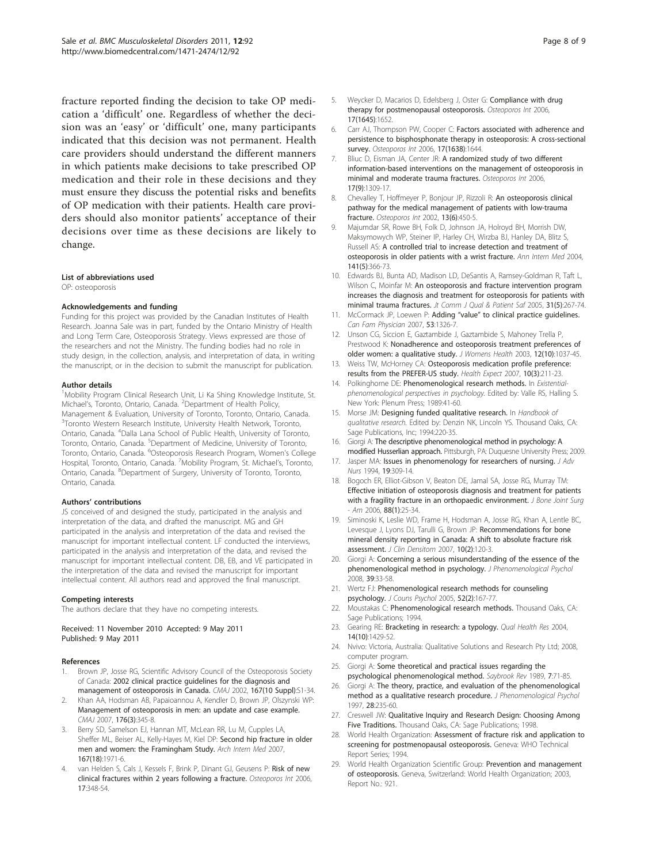<span id="page-7-0"></span>fracture reported finding the decision to take OP medication a 'difficult' one. Regardless of whether the decision was an 'easy' or 'difficult' one, many participants indicated that this decision was not permanent. Health care providers should understand the different manners in which patients make decisions to take prescribed OP medication and their role in these decisions and they must ensure they discuss the potential risks and benefits of OP medication with their patients. Health care providers should also monitor patients' acceptance of their decisions over time as these decisions are likely to change.

#### List of abbreviations used

OP: osteoporosis

#### Acknowledgements and funding

Funding for this project was provided by the Canadian Institutes of Health Research. Joanna Sale was in part, funded by the Ontario Ministry of Health and Long Term Care, Osteoporosis Strategy. Views expressed are those of the researchers and not the Ministry. The funding bodies had no role in study design, in the collection, analysis, and interpretation of data, in writing the manuscript, or in the decision to submit the manuscript for publication.

#### Author details

<sup>1</sup>Mobility Program Clinical Research Unit, Li Ka Shing Knowledge Institute, St. Michael's, Toronto, Ontario, Canada. <sup>2</sup>Department of Health Policy, Management & Evaluation, University of Toronto, Toronto, Ontario, Canada. <sup>3</sup>Toronto Western Research Institute, University Health Network, Toronto, Ontario, Canada. <sup>4</sup>Dalla Lana School of Public Health, University of Toronto, Toronto, Ontario, Canada. <sup>5</sup>Department of Medicine, University of Toronto, Toronto, Ontario, Canada. <sup>6</sup>Osteoporosis Research Program, Women's College Hospital, Toronto, Ontario, Canada. <sup>7</sup>Mobility Program, St. Michael's, Toronto, Ontario, Canada. <sup>8</sup>Department of Surgery, University of Toronto, Toronto, Ontario, Canada.

#### Authors' contributions

JS conceived of and designed the study, participated in the analysis and interpretation of the data, and drafted the manuscript. MG and GH participated in the analysis and interpretation of the data and revised the manuscript for important intellectual content. LF conducted the interviews, participated in the analysis and interpretation of the data, and revised the manuscript for important intellectual content. DB, EB, and VE participated in the interpretation of the data and revised the manuscript for important intellectual content. All authors read and approved the final manuscript.

#### Competing interests

The authors declare that they have no competing interests.

#### Received: 11 November 2010 Accepted: 9 May 2011 Published: 9 May 2011

#### References

- 1. Brown JP, Josse RG, Scientific Advisory Council of the Osteoporosis Society of Canada: [2002 clinical practice guidelines for the diagnosis and](http://www.ncbi.nlm.nih.gov/pubmed/12427685?dopt=Abstract) [management of osteoporosis in Canada.](http://www.ncbi.nlm.nih.gov/pubmed/12427685?dopt=Abstract) CMAJ 2002, 167(10 Suppl):S1-34.
- 2. Khan AA, Hodsman AB, Papaioannou A, Kendler D, Brown JP, Olszynski WP: [Management of osteoporosis in men: an update and case example.](http://www.ncbi.nlm.nih.gov/pubmed/17261833?dopt=Abstract) CMAJ 2007, 176(3):345-8.
- 3. Berry SD, Samelson EJ, Hannan MT, McLean RR, Lu M, Cupples LA, Sheffer ML, Beiser AL, Kelly-Hayes M, Kiel DP: [Second hip fracture in older](http://www.ncbi.nlm.nih.gov/pubmed/17923597?dopt=Abstract) [men and women: the Framingham Study.](http://www.ncbi.nlm.nih.gov/pubmed/17923597?dopt=Abstract) Arch Intern Med 2007, 167(18):1971-6.
- van Helden S, Cals J, Kessels F, Brink P, Dinant GJ, Geusens P: [Risk of new](http://www.ncbi.nlm.nih.gov/pubmed/16378167?dopt=Abstract) [clinical fractures within 2 years following a fracture.](http://www.ncbi.nlm.nih.gov/pubmed/16378167?dopt=Abstract) Osteoporos Int 2006, 17:348-54.
- 5. Weycker D, Macarios D, Edelsberg J, Oster G: Compliance with drug therapy for postmenopausal osteoporosis. Osteoporos Int 2006, 17(1645):1652.
- 6. Carr AJ, Thompson PW, Cooper C: Factors associated with adherence and persistence to bisphosphonate therapy in osteoporosis: A cross-sectional survey. Osteoporos Int 2006, 17(1638):1644.
- 7. Bliuc D, Eisman JA, Center JR: [A randomized study of two different](http://www.ncbi.nlm.nih.gov/pubmed/16804739?dopt=Abstract) [information-based interventions on the management of osteoporosis in](http://www.ncbi.nlm.nih.gov/pubmed/16804739?dopt=Abstract) [minimal and moderate trauma fractures.](http://www.ncbi.nlm.nih.gov/pubmed/16804739?dopt=Abstract) Osteoporos Int 2006, 17(9):1309-17.
- 8. Chevalley T, Hoffmeyer P, Bonjour JP, Rizzoli R: [An osteoporosis clinical](http://www.ncbi.nlm.nih.gov/pubmed/12107657?dopt=Abstract) [pathway for the medical management of patients with low-trauma](http://www.ncbi.nlm.nih.gov/pubmed/12107657?dopt=Abstract) [fracture.](http://www.ncbi.nlm.nih.gov/pubmed/12107657?dopt=Abstract) Osteoporos Int 2002, 13(6):450-5.
- 9. Majumdar SR, Rowe BH, Folk D, Johnson JA, Holroyd BH, Morrish DW, Maksymowych WP, Steiner IP, Harley CH, Wirzba BJ, Hanley DA, Blitz S, Russell AS: [A controlled trial to increase detection and treatment of](http://www.ncbi.nlm.nih.gov/pubmed/15353428?dopt=Abstract) [osteoporosis in older patients with a wrist fracture.](http://www.ncbi.nlm.nih.gov/pubmed/15353428?dopt=Abstract) Ann Intern Med 2004, 141(5):366-73.
- 10. Edwards BJ, Bunta AD, Madison LD, DeSantis A, Ramsey-Goldman R, Taft L, Wilson C. Moinfar M: An osteoporosis and fracture intervention program increases the diagnosis and treatment for osteoporosis for patients with minimal trauma fractures. Jt Comm J Qual & Patient Saf 2005, 31(5):267-74.
- 11. McCormack JP, Loewen P: Adding "value" [to clinical practice guidelines.](http://www.ncbi.nlm.nih.gov/pubmed/17872848?dopt=Abstract) Can Fam Physician 2007, 53:1326-7.
- 12. Unson CG, Siccion E, Gaztambide J, Gaztambide S, Mahoney Trella P, Prestwood K: Nonadherence and osteoporosis treatment preferences of older women: a qualitative study. J Womens Health 2003, 12(10):1037-45.
- 13. Weiss TW, McHorney CA: [Osteoporosis medication profile preference:](http://www.ncbi.nlm.nih.gov/pubmed/17678510?dopt=Abstract) [results from the PREFER-US study.](http://www.ncbi.nlm.nih.gov/pubmed/17678510?dopt=Abstract) Health Expect 2007, 10(3):211-23.
- 14. Polkinghorne DE: Phenomenological research methods. In Existentialphenomenological perspectives in psychology. Edited by: Valle RS, Halling S. New York: Plenum Press; 1989:41-60.
- 15. Morse JM: Designing funded qualitative research. In Handbook of qualitative research. Edited by: Denzin NK, Lincoln YS. Thousand Oaks, CA: Sage Publications, Inc; 1994:220-35.
- 16. Giorgi A: The descriptive phenomenological method in psychology: A modified Husserlian approach. Pittsburgh, PA: Duquesne University Press; 2009.
- 17. Jasper MA: [Issues in phenomenology for researchers of nursing.](http://www.ncbi.nlm.nih.gov/pubmed/8188962?dopt=Abstract) J Adv Nurs 1994, 19:309-14.
- 18. Bogoch ER, Elliot-Gibson V, Beaton DE, Jamal SA, Josse RG, Murray TM: [Effective initiation of osteoporosis diagnosis and treatment for patients](http://www.ncbi.nlm.nih.gov/pubmed/16595439?dopt=Abstract) [with a fragility fracture in an orthopaedic environment.](http://www.ncbi.nlm.nih.gov/pubmed/16595439?dopt=Abstract) J Bone Joint Surg - Am 2006, 88(1):25-34.
- 19. Siminoski K, Leslie WD, Frame H, Hodsman A, Josse RG, Khan A, Lentle BC, Levesque J, Lyons DJ, Tarulli G, Brown JP: [Recommendations for bone](http://www.ncbi.nlm.nih.gov/pubmed/17485028?dopt=Abstract) [mineral density reporting in Canada: A shift to absolute fracture risk](http://www.ncbi.nlm.nih.gov/pubmed/17485028?dopt=Abstract) [assessment.](http://www.ncbi.nlm.nih.gov/pubmed/17485028?dopt=Abstract) J Clin Densitom 2007, 10(2):120-3.
- 20. Giorgi A: Concerning a serious misunderstanding of the essence of the phenomenological method in psychology. J Phenomenological Psychol 2008, 39:33-58.
- 21. Wertz FJ: Phenomenological research methods for counseling psychology. J Couns Psychol 2005, 52(2):167-77
- 22. Moustakas C: Phenomenological research methods. Thousand Oaks, CA: Sage Publications: 1994.
- 23. Gearing RE: [Bracketing in research: a typology.](http://www.ncbi.nlm.nih.gov/pubmed/15538009?dopt=Abstract) Qual Health Res 2004, 14(10):1429-52.
- 24. Nvivo: Victoria, Australia: Qualitative Solutions and Research Pty Ltd; 2008, computer program.
- 25. Giorgi A: Some theoretical and practical issues regarding the psychological phenomenological method. Saybrook Rev 1989, 7:71-85.
- 26. Giorgi A: The theory, practice, and evaluation of the phenomenological method as a qualitative research procedure. J Phenomenological Psychol 1997, 28:235-60.
- 27. Creswell JW: Qualitative Inquiry and Research Design: Choosing Among Five Traditions. Thousand Oaks, CA: Sage Publications; 1998.
- 28. World Health Organization: Assessment of fracture risk and application to screening for postmenopausal osteoporosis. Geneva: WHO Technical Report Series; 1994.
- 29. World Health Organization Scientific Group: Prevention and management of osteoporosis. Geneva, Switzerland: World Health Organization; 2003, Report No.: 921.